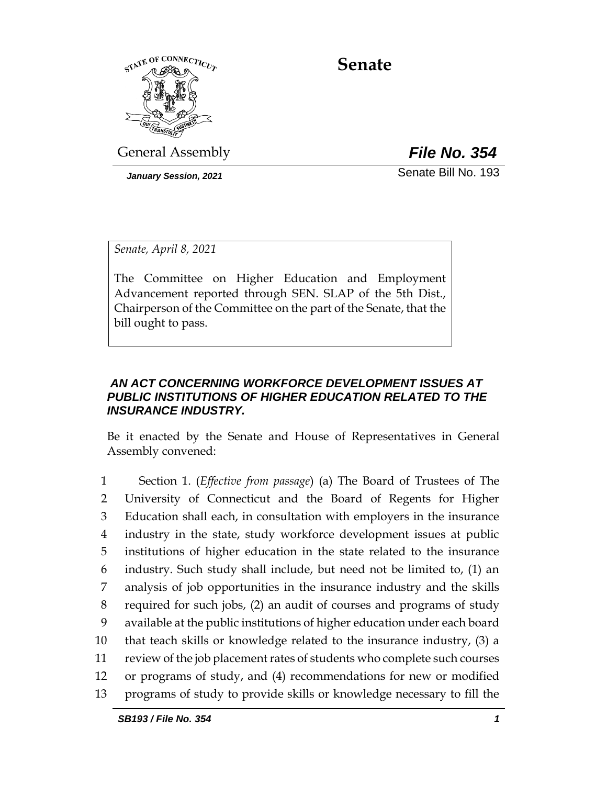

# **Senate**

General Assembly *File No. 354*

*January Session, 2021* Senate Bill No. 193

*Senate, April 8, 2021*

The Committee on Higher Education and Employment Advancement reported through SEN. SLAP of the 5th Dist., Chairperson of the Committee on the part of the Senate, that the bill ought to pass.

# *AN ACT CONCERNING WORKFORCE DEVELOPMENT ISSUES AT PUBLIC INSTITUTIONS OF HIGHER EDUCATION RELATED TO THE INSURANCE INDUSTRY.*

Be it enacted by the Senate and House of Representatives in General Assembly convened:

 Section 1. (*Effective from passage*) (a) The Board of Trustees of The University of Connecticut and the Board of Regents for Higher Education shall each, in consultation with employers in the insurance industry in the state, study workforce development issues at public institutions of higher education in the state related to the insurance industry. Such study shall include, but need not be limited to, (1) an analysis of job opportunities in the insurance industry and the skills required for such jobs, (2) an audit of courses and programs of study available at the public institutions of higher education under each board that teach skills or knowledge related to the insurance industry, (3) a review of the job placement rates of students who complete such courses or programs of study, and (4) recommendations for new or modified programs of study to provide skills or knowledge necessary to fill the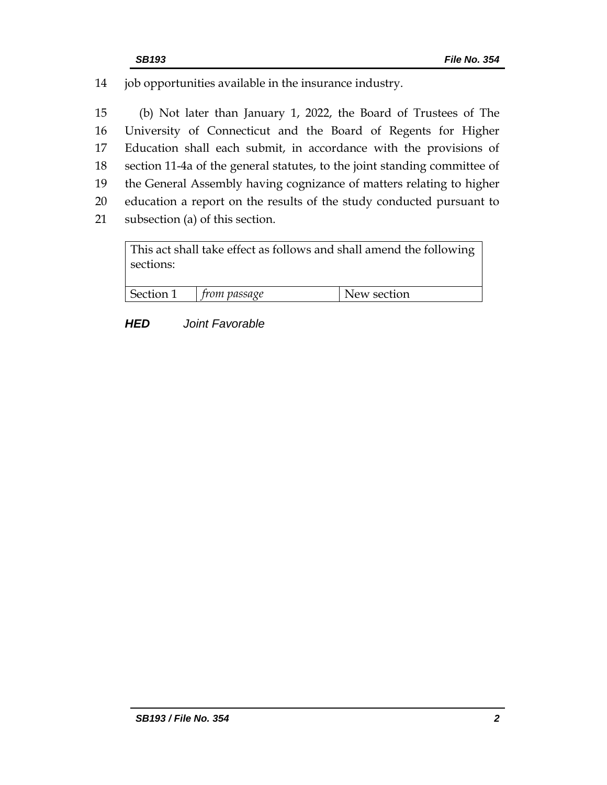14 job opportunities available in the insurance industry.

 (b) Not later than January 1, 2022, the Board of Trustees of The University of Connecticut and the Board of Regents for Higher Education shall each submit, in accordance with the provisions of section 11-4a of the general statutes, to the joint standing committee of the General Assembly having cognizance of matters relating to higher education a report on the results of the study conducted pursuant to subsection (a) of this section.

This act shall take effect as follows and shall amend the following sections:

| Section 1 | passage » | w section: |
|-----------|-----------|------------|
|           |           |            |

# *HED Joint Favorable*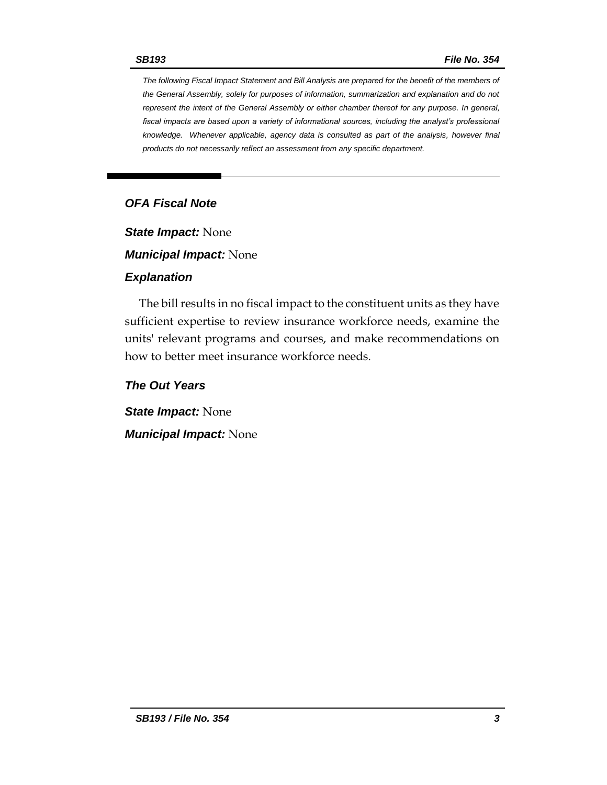*The following Fiscal Impact Statement and Bill Analysis are prepared for the benefit of the members of the General Assembly, solely for purposes of information, summarization and explanation and do not represent the intent of the General Assembly or either chamber thereof for any purpose. In general, fiscal impacts are based upon a variety of informational sources, including the analyst's professional knowledge. Whenever applicable, agency data is consulted as part of the analysis, however final products do not necessarily reflect an assessment from any specific department.*

# *OFA Fiscal Note*

*State Impact:* None

*Municipal Impact:* None

#### *Explanation*

The bill results in no fiscal impact to the constituent units as they have sufficient expertise to review insurance workforce needs, examine the units' relevant programs and courses, and make recommendations on how to better meet insurance workforce needs.

*The Out Years*

*State Impact:* None *Municipal Impact:* None